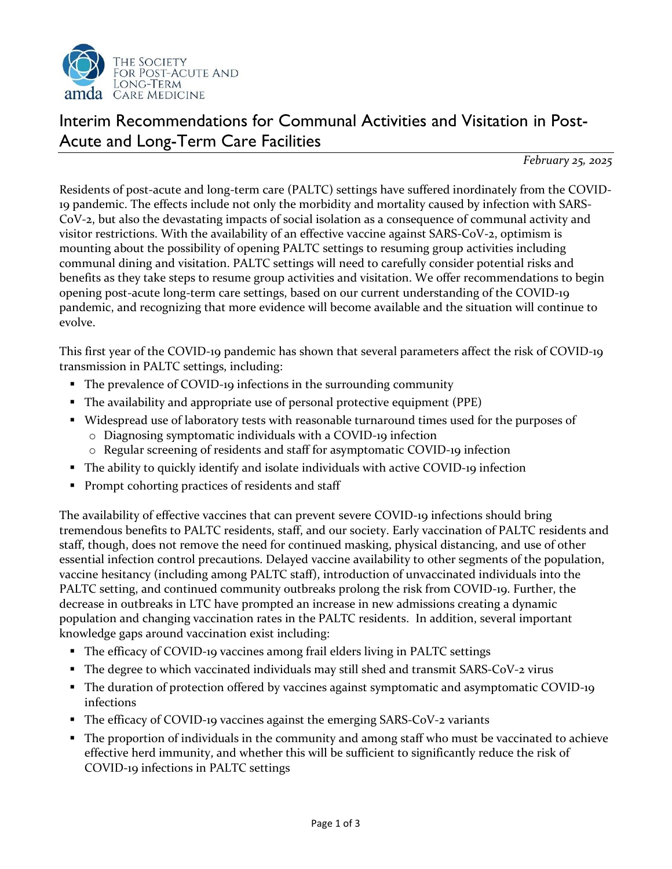

## Interim Recommendations for Communal Activities and Visitation in Post-Acute and Long-Term Care Facilities

*February 25, 2025*

Residents of post-acute and long-term care (PALTC) settings have suffered inordinately from the COVID-19 pandemic. The effects include not only the morbidity and mortality caused by infection with SARS-CoV-2, but also the devastating impacts of social isolation as a consequence of communal activity and visitor restrictions. With the availability of an effective vaccine against SARS-CoV-2, optimism is mounting about the possibility of opening PALTC settings to resuming group activities including communal dining and visitation. PALTC settings will need to carefully consider potential risks and benefits as they take steps to resume group activities and visitation. We offer recommendations to begin opening post-acute long-term care settings, based on our current understanding of the COVID-19 pandemic, and recognizing that more evidence will become available and the situation will continue to evolve.

This first year of the COVID-19 pandemic has shown that several parameters affect the risk of COVID-19 transmission in PALTC settings, including:

- The prevalence of COVID-19 infections in the surrounding community
- The availability and appropriate use of personal protective equipment (PPE)
- Widespread use of laboratory tests with reasonable turnaround times used for the purposes of
	- o Diagnosing symptomatic individuals with a COVID-19 infection
	- o Regular screening of residents and staff for asymptomatic COVID-19 infection
- The ability to quickly identify and isolate individuals with active COVID-19 infection
- Prompt cohorting practices of residents and staff

The availability of effective vaccines that can prevent severe COVID-19 infections should bring tremendous benefits to PALTC residents, staff, and our society. Early vaccination of PALTC residents and staff, though, does not remove the need for continued masking, physical distancing, and use of other essential infection control precautions. Delayed vaccine availability to other segments of the population, vaccine hesitancy (including among PALTC staff), introduction of unvaccinated individuals into the PALTC setting, and continued community outbreaks prolong the risk from COVID-19. Further, the decrease in outbreaks in LTC have prompted an increase in new admissions creating a dynamic population and changing vaccination rates in the PALTC residents. In addition, several important knowledge gaps around vaccination exist including:

- The efficacy of COVID-19 vaccines among frail elders living in PALTC settings
- The degree to which vaccinated individuals may still shed and transmit SARS-CoV-2 virus
- The duration of protection offered by vaccines against symptomatic and asymptomatic COVID-19 infections
- The efficacy of COVID-19 vaccines against the emerging SARS-CoV-2 variants
- The proportion of individuals in the community and among staff who must be vaccinated to achieve effective herd immunity, and whether this will be sufficient to significantly reduce the risk of COVID-19 infections in PALTC settings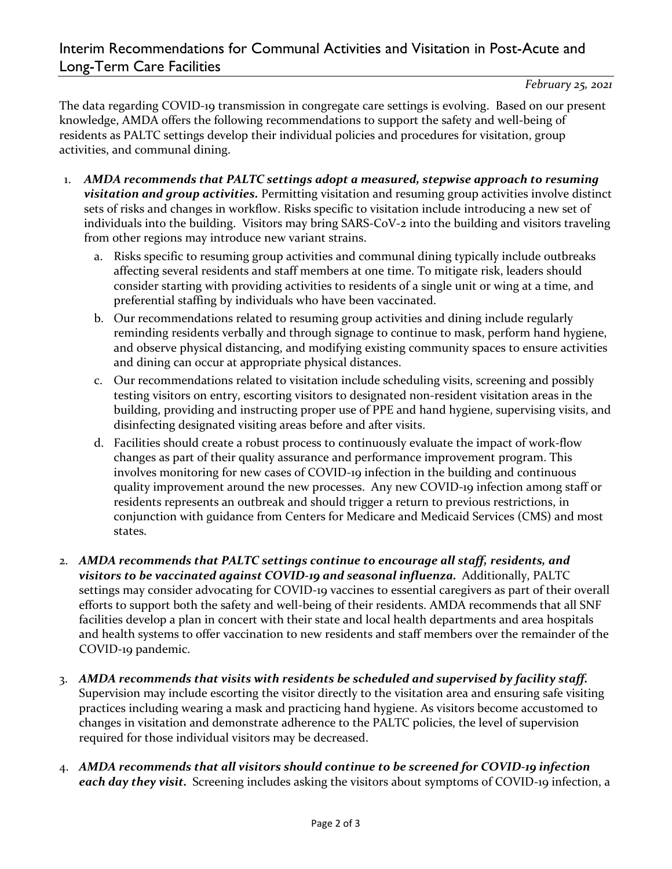*February 25, 2021*

The data regarding COVID-19 transmission in congregate care settings is evolving. Based on our present knowledge, AMDA offers the following recommendations to support the safety and well-being of residents as PALTC settings develop their individual policies and procedures for visitation, group activities, and communal dining.

- 1. *AMDA recommends that PALTC settings adopt a measured, stepwise approach to resuming visitation and group activities.* Permitting visitation and resuming group activities involve distinct sets of risks and changes in workflow. Risks specific to visitation include introducing a new set of individuals into the building. Visitors may bring SARS-CoV-2 into the building and visitors traveling from other regions may introduce new variant strains.
	- a. Risks specific to resuming group activities and communal dining typically include outbreaks affecting several residents and staff members at one time. To mitigate risk, leaders should consider starting with providing activities to residents of a single unit or wing at a time, and preferential staffing by individuals who have been vaccinated.
	- b. Our recommendations related to resuming group activities and dining include regularly reminding residents verbally and through signage to continue to mask, perform hand hygiene, and observe physical distancing, and modifying existing community spaces to ensure activities and dining can occur at appropriate physical distances.
	- c. Our recommendations related to visitation include scheduling visits, screening and possibly testing visitors on entry, escorting visitors to designated non-resident visitation areas in the building, providing and instructing proper use of PPE and hand hygiene, supervising visits, and disinfecting designated visiting areas before and after visits.
	- d. Facilities should create a robust process to continuously evaluate the impact of work-flow changes as part of their quality assurance and performance improvement program. This involves monitoring for new cases of COVID-19 infection in the building and continuous quality improvement around the new processes. Any new COVID-19 infection among staff or residents represents an outbreak and should trigger a return to previous restrictions, in conjunction with guidance from Centers for Medicare and Medicaid Services (CMS) and most states.
- 2. *AMDA recommends that PALTC settings continue to encourage all staff, residents, and visitors to be vaccinated against COVID-19 and seasonal influenza.* Additionally, PALTC settings may consider advocating for COVID-19 vaccines to essential caregivers as part of their overall efforts to support both the safety and well-being of their residents. AMDA recommends that all SNF facilities develop a plan in concert with their state and local health departments and area hospitals and health systems to offer vaccination to new residents and staff members over the remainder of the COVID-19 pandemic.
- 3. *AMDA recommends that visits with residents be scheduled and supervised by facility staff.*  Supervision may include escorting the visitor directly to the visitation area and ensuring safe visiting practices including wearing a mask and practicing hand hygiene. As visitors become accustomed to changes in visitation and demonstrate adherence to the PALTC policies, the level of supervision required for those individual visitors may be decreased.
- 4. *AMDA recommends that all visitors should continue to be screened for COVID-19 infection each day they visit.* Screening includes asking the visitors about symptoms of COVID-19 infection, a